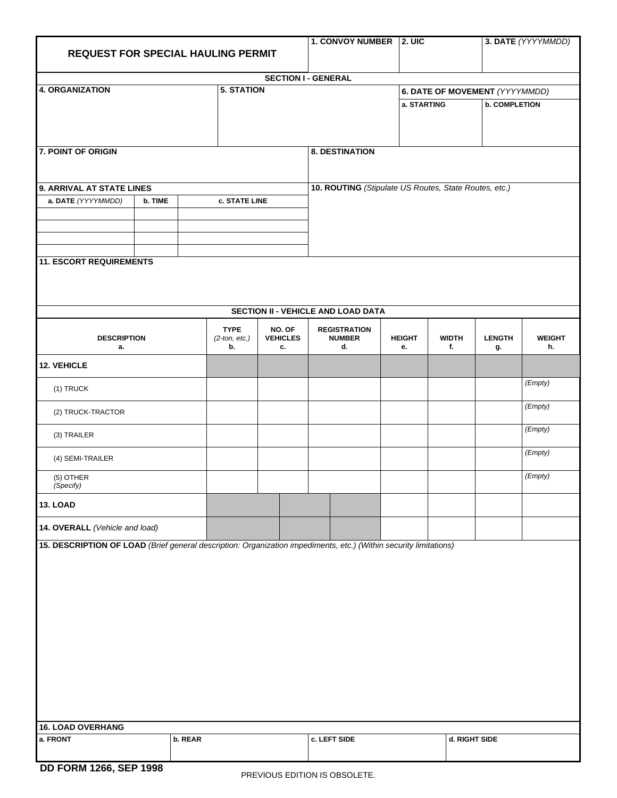| <b>REQUEST FOR SPECIAL HAULING PERMIT</b>                                                                         | 1. CONVOY NUMBER 2. UIC                               |                                       |                                 |                                            | 3. DATE (YYYYMMDD)  |                                |                      |                     |  |  |  |
|-------------------------------------------------------------------------------------------------------------------|-------------------------------------------------------|---------------------------------------|---------------------------------|--------------------------------------------|---------------------|--------------------------------|----------------------|---------------------|--|--|--|
|                                                                                                                   |                                                       |                                       |                                 |                                            |                     |                                |                      |                     |  |  |  |
| <b>SECTION I - GENERAL</b>                                                                                        |                                                       |                                       |                                 |                                            |                     |                                |                      |                     |  |  |  |
| <b>4. ORGANIZATION</b>                                                                                            |                                                       | <b>5. STATION</b>                     |                                 |                                            |                     | 6. DATE OF MOVEMENT (YYYYMMDD) |                      |                     |  |  |  |
|                                                                                                                   |                                                       |                                       |                                 |                                            | a. STARTING         |                                | <b>b. COMPLETION</b> |                     |  |  |  |
|                                                                                                                   |                                                       |                                       |                                 |                                            |                     |                                |                      |                     |  |  |  |
|                                                                                                                   |                                                       |                                       |                                 |                                            |                     |                                |                      |                     |  |  |  |
| 7. POINT OF ORIGIN                                                                                                |                                                       |                                       |                                 | <b>8. DESTINATION</b>                      |                     |                                |                      |                     |  |  |  |
|                                                                                                                   |                                                       |                                       |                                 |                                            |                     |                                |                      |                     |  |  |  |
| 9. ARRIVAL AT STATE LINES                                                                                         | 10. ROUTING (Stipulate US Routes, State Routes, etc.) |                                       |                                 |                                            |                     |                                |                      |                     |  |  |  |
| a. DATE (YYYYMMDD)<br>b. TIME                                                                                     |                                                       | c. STATE LINE                         |                                 |                                            |                     |                                |                      |                     |  |  |  |
|                                                                                                                   |                                                       |                                       |                                 |                                            |                     |                                |                      |                     |  |  |  |
|                                                                                                                   |                                                       |                                       |                                 |                                            |                     |                                |                      |                     |  |  |  |
|                                                                                                                   |                                                       |                                       |                                 |                                            |                     |                                |                      |                     |  |  |  |
| <b>11. ESCORT REQUIREMENTS</b>                                                                                    |                                                       |                                       |                                 |                                            |                     |                                |                      |                     |  |  |  |
|                                                                                                                   |                                                       |                                       |                                 |                                            |                     |                                |                      |                     |  |  |  |
|                                                                                                                   |                                                       |                                       |                                 |                                            |                     |                                |                      |                     |  |  |  |
|                                                                                                                   |                                                       |                                       |                                 |                                            |                     |                                |                      |                     |  |  |  |
|                                                                                                                   |                                                       |                                       |                                 | SECTION II - VEHICLE AND LOAD DATA         |                     |                                |                      |                     |  |  |  |
| <b>DESCRIPTION</b><br>a.                                                                                          |                                                       | <b>TYPE</b><br>$(2$ -ton, etc.)<br>b. | NO. OF<br><b>VEHICLES</b><br>c. | <b>REGISTRATION</b><br><b>NUMBER</b><br>d. | <b>HEIGHT</b><br>е. | <b>WIDTH</b><br>f.             | <b>LENGTH</b><br>g.  | <b>WEIGHT</b><br>h. |  |  |  |
| 12. VEHICLE                                                                                                       |                                                       |                                       |                                 |                                            |                     |                                |                      |                     |  |  |  |
| (1) TRUCK                                                                                                         |                                                       |                                       |                                 |                                            |                     |                                |                      | (Empty)             |  |  |  |
| (2) TRUCK-TRACTOR                                                                                                 |                                                       |                                       |                                 |                                            |                     |                                |                      | (Empty)             |  |  |  |
| (3) TRAILER                                                                                                       |                                                       |                                       |                                 |                                            |                     |                                |                      | (Empty)             |  |  |  |
| (4) SEMI-TRAILER                                                                                                  |                                                       |                                       |                                 |                                            |                     |                                |                      | (Empty)             |  |  |  |
| (5) OTHER<br>(Specify)                                                                                            |                                                       |                                       |                                 |                                            |                     |                                |                      | (Empty)             |  |  |  |
| <b>13. LOAD</b>                                                                                                   |                                                       |                                       |                                 |                                            |                     |                                |                      |                     |  |  |  |
| 14. OVERALL (Vehicle and load)                                                                                    |                                                       |                                       |                                 |                                            |                     |                                |                      |                     |  |  |  |
| 15. DESCRIPTION OF LOAD (Brief general description: Organization impediments, etc.) (Within security limitations) |                                                       |                                       |                                 |                                            |                     |                                |                      |                     |  |  |  |
|                                                                                                                   |                                                       |                                       |                                 |                                            |                     |                                |                      |                     |  |  |  |
|                                                                                                                   |                                                       |                                       |                                 |                                            |                     |                                |                      |                     |  |  |  |
|                                                                                                                   |                                                       |                                       |                                 |                                            |                     |                                |                      |                     |  |  |  |
|                                                                                                                   |                                                       |                                       |                                 |                                            |                     |                                |                      |                     |  |  |  |
|                                                                                                                   |                                                       |                                       |                                 |                                            |                     |                                |                      |                     |  |  |  |
|                                                                                                                   |                                                       |                                       |                                 |                                            |                     |                                |                      |                     |  |  |  |
|                                                                                                                   |                                                       |                                       |                                 |                                            |                     |                                |                      |                     |  |  |  |
|                                                                                                                   |                                                       |                                       |                                 |                                            |                     |                                |                      |                     |  |  |  |
|                                                                                                                   |                                                       |                                       |                                 |                                            |                     |                                |                      |                     |  |  |  |
|                                                                                                                   |                                                       |                                       |                                 |                                            |                     |                                |                      |                     |  |  |  |
|                                                                                                                   |                                                       |                                       |                                 |                                            |                     |                                |                      |                     |  |  |  |
|                                                                                                                   |                                                       |                                       |                                 |                                            |                     |                                |                      |                     |  |  |  |
| <b>16. LOAD OVERHANG</b>                                                                                          |                                                       |                                       |                                 |                                            |                     |                                |                      |                     |  |  |  |
| a. FRONT                                                                                                          | b. REAR                                               |                                       |                                 | c. LEFT SIDE                               |                     | d. RIGHT SIDE                  |                      |                     |  |  |  |